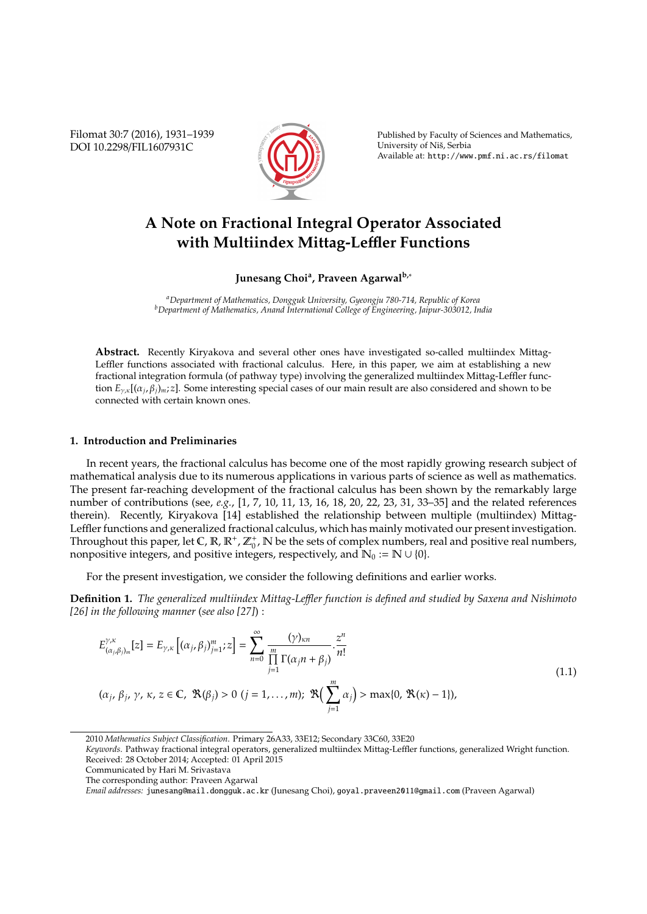Filomat 30:7 (2016), 1931–1939 DOI 10.2298/FIL1607931C



Published by Faculty of Sciences and Mathematics, University of Niš, Serbia Available at: http://www.pmf.ni.ac.rs/filomat

# **A Note on Fractional Integral Operator Associated with Multiindex Mittag-Le**ffl**er Functions**

## **Junesang Choi<sup>a</sup> , Praveen Agarwalb,**<sup>∗</sup>

*<sup>a</sup>Department of Mathematics, Dongguk University, Gyeongju 780-714, Republic of Korea <sup>b</sup>Department of Mathematics, Anand International College of Engineering, Jaipur-303012, India*

**Abstract.** Recently Kiryakova and several other ones have investigated so-called multiindex Mittag-Leffler functions associated with fractional calculus. Here, in this paper, we aim at establishing a new fractional integration formula (of pathway type) involving the generalized multiindex Mittag-Leffler function *E*γ,κ[(α*<sup>j</sup>* , β*j*)*m*; *z*]. Some interesting special cases of our main result are also considered and shown to be connected with certain known ones.

## **1. Introduction and Preliminaries**

In recent years, the fractional calculus has become one of the most rapidly growing research subject of mathematical analysis due to its numerous applications in various parts of science as well as mathematics. The present far-reaching development of the fractional calculus has been shown by the remarkably large number of contributions (see, *e.g.*, [1, 7, 10, 11, 13, 16, 18, 20, 22, 23, 31, 33–35] and the related references therein). Recently, Kiryakova [14] established the relationship between multiple (multiindex) Mittag-Leffler functions and generalized fractional calculus, which has mainly motivated our present investigation. Throughout this paper, let C,  $\mathbb{R}, \mathbb{R}^+, \mathbb{Z}_0^+$ ,  $\mathbb{N}$  be the sets of complex numbers, real and positive real numbers, nonpositive integers, and positive integers, respectively, and  $\mathbb{N}_0 := \mathbb{N} \cup \{0\}.$ 

For the present investigation, we consider the following definitions and earlier works.

**Definition 1.** *The generalized multiindex Mittag-Le*ffl*er function is defined and studied by Saxena and Nishimoto [26] in the following manner* (*see also [27]*) :

$$
E_{(\alpha_j,\beta_j)_m}^{\gamma,\kappa}[z] = E_{\gamma,\kappa}\left[ (\alpha_j,\beta_j)_{j=1}^m; z \right] = \sum_{n=0}^{\infty} \frac{(\gamma)_{\kappa n}}{\prod_{j=1}^m \Gamma(\alpha_j n + \beta_j)} \cdot \frac{z^n}{n!}
$$
  
\n
$$
(\alpha_j,\beta_j,\gamma,\kappa,z \in \mathbb{C}, \ \mathfrak{R}(\beta_j) > 0 \ (j = 1,\ldots,m); \ \mathfrak{R}\left(\sum_{j=1}^m \alpha_j\right) > \max\{0, \ \mathfrak{R}(\kappa) - 1\}),
$$
\n(1.1)

<sup>2010</sup> *Mathematics Subject Classification*. Primary 26A33, 33E12; Secondary 33C60, 33E20

*Keywords*. Pathway fractional integral operators, generalized multiindex Mittag-Leffler functions, generalized Wright function. Received: 28 October 2014; Accepted: 01 April 2015

Communicated by Hari M. Srivastava

The corresponding author: Praveen Agarwal

*Email addresses:* junesang@mail.dongguk.ac.kr (Junesang Choi), goyal.praveen2011@gmail.com (Praveen Agarwal)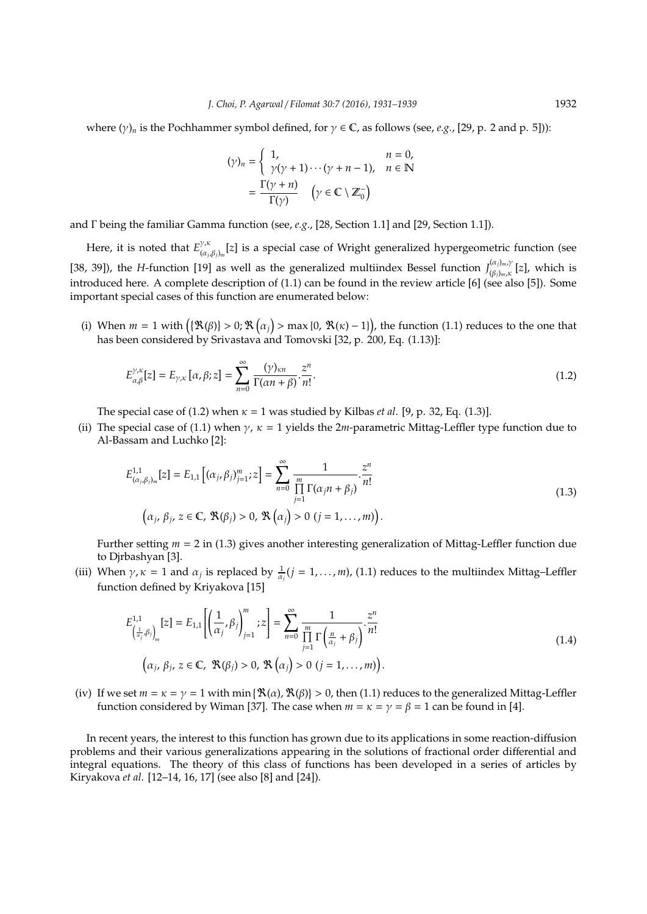where  $(\gamma)_n$  is the Pochhammer symbol defined, for  $\gamma \in \mathbb{C}$ , as follows (see, *e.g.*, [29, p. 2 and p. 5])):

$$
(\gamma)_n = \begin{cases} 1, & n = 0, \\ \gamma(\gamma + 1) \cdots (\gamma + n - 1), & n \in \mathbb{N} \end{cases}
$$

$$
= \frac{\Gamma(\gamma + n)}{\Gamma(\gamma)} \quad (\gamma \in \mathbb{C} \setminus \mathbb{Z}_0^-)
$$

and Γ being the familiar Gamma function (see, *e.g.*, [28, Section 1.1] and [29, Section 1.1]).

Here, it is noted that  $E^{\gamma,\kappa}_{(\alpha)}$ (α*<sup>j</sup>* ,β*j*)*<sup>m</sup>* [*z*] is a special case of Wright generalized hypergeometric function (see [38, 39]), the *H*-function [19] as well as the generalized multiindex Bessel function  $J_{(8,1)}^{(\alpha_j)_{m},\gamma}$  $\binom{(\alpha_j)_{m \in \mathbb{N}}}{(\beta_j)_m, \kappa}$  [*z*], which is introduced here. A complete description of (1.1) can be found in the review article [6] (see also [5]). Some important special cases of this function are enumerated below:

(i) When  $m = 1$  with  $(\mathcal{R}(\beta)) > 0$ ;  $\mathcal{R}(\alpha_j) > \max\{0, \mathcal{R}(\kappa) - 1\}$ , the function (1.1) reduces to the one that has been considered by Srivastava and Tomovski [32, p. 200, Eq. (1.13)]:

$$
E_{\alpha,\beta}^{\gamma,\kappa}[z] = E_{\gamma,\kappa}\left[\alpha,\beta;z\right] = \sum_{n=0}^{\infty} \frac{(\gamma)_{\kappa n}}{\Gamma(\alpha n + \beta)} \cdot \frac{z^n}{n!}.
$$
\n(1.2)

The special case of (1.2) when  $\kappa = 1$  was studied by Kilbas *et al.* [9, p. 32, Eq. (1.3)].

(ii) The special case of (1.1) when  $\gamma$ ,  $\kappa = 1$  yields the 2*m*-parametric Mittag-Leffler type function due to Al-Bassam and Luchko [2]:

$$
E_{(\alpha_j, \beta_j)_m}^{1,1}[z] = E_{1,1}[(\alpha_j, \beta_j)_{j=1}^m; z] = \sum_{n=0}^{\infty} \frac{1}{\prod_{j=1}^m \Gamma(\alpha_j n + \beta_j)} \cdot \frac{z^n}{n!}
$$
  

$$
(\alpha_j, \beta_j, z \in \mathbb{C}, \mathcal{R}(\beta_j) > 0, \mathcal{R}(\alpha_j) > 0 \ (j = 1, ..., m)).
$$
 (1.3)

Further setting *m* = 2 in (1.3) gives another interesting generalization of Mittag-Leffler function due to Djrbashyan [3].

(iii) When  $\gamma$ ,  $\kappa = 1$  and  $\alpha_j$  is replaced by  $\frac{1}{\alpha_j}(j = 1, ..., m)$ , (1.1) reduces to the multiindex Mittag–Leffler function defined by Kriyakova [15]

$$
E_{\left(\frac{1}{\alpha_j},\beta_j\right)_m}^{1,1}[z] = E_{1,1}\left[\left(\frac{1}{\alpha_j},\beta_j\right)_{j=1}^m; z\right] = \sum_{n=0}^{\infty} \frac{1}{\prod_{j=1}^m \Gamma\left(\frac{n}{\alpha_j} + \beta_j\right)} \cdot \frac{z^n}{n!}
$$
\n
$$
\left(\alpha_j, \beta_j, z \in \mathbb{C}, \ \Re(\beta_j) > 0, \ \Re\left(\alpha_j\right) > 0 \ (j = 1, \dots, m)\right).
$$
\n
$$
(1.4)
$$

(iv) If we set  $m = \kappa = \gamma = 1$  with min { $\mathcal{R}(\alpha)$ ,  $\mathcal{R}(\beta)$ } > 0, then (1.1) reduces to the generalized Mittag-Leffler function considered by Wiman [37]. The case when  $m = \kappa = \gamma = \beta = 1$  can be found in [4].

In recent years, the interest to this function has grown due to its applications in some reaction-diffusion problems and their various generalizations appearing in the solutions of fractional order differential and integral equations. The theory of this class of functions has been developed in a series of articles by Kiryakova *et al*. [12–14, 16, 17] (see also [8] and [24]).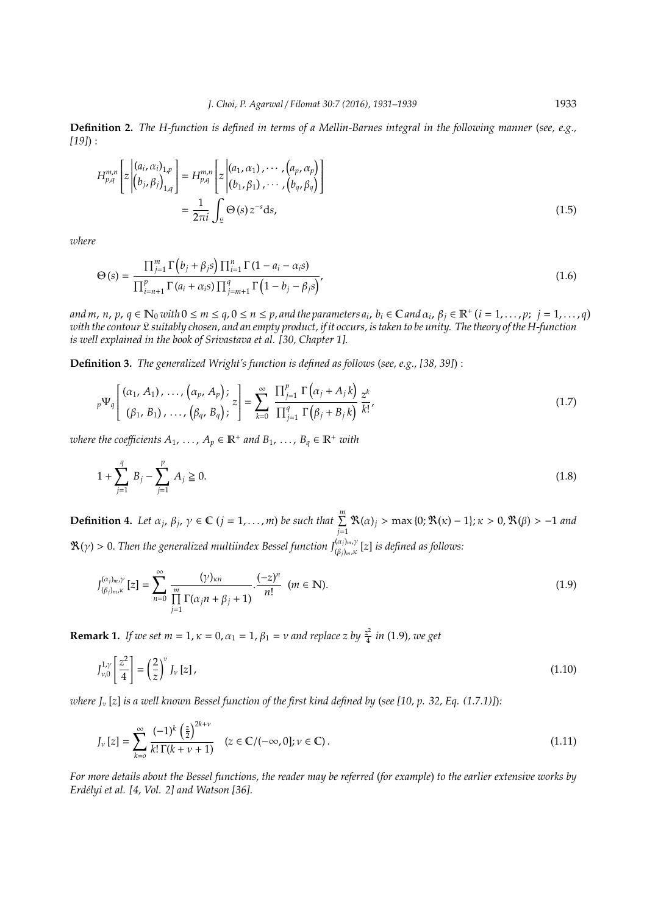**Definition 2.** *The H-function is defined in terms of a Mellin-Barnes integral in the following manner* (*see, e.g., [19]*) :

$$
H_{p,q}^{m,n}\left[z\begin{pmatrix} (a_i,\alpha_i)_{1,p} \\ (b_j,\beta_j)_{1,q} \end{pmatrix}\right] = H_{p,q}^{m,n}\left[z\begin{pmatrix} (a_1,\alpha_1),\cdots,(a_p,\alpha_p) \\ (b_1,\beta_1),\cdots,(b_q,\beta_q) \end{pmatrix}\right]
$$

$$
=\frac{1}{2\pi i}\int_{\mathfrak{L}}\Theta(s)\,z^{-s}\mathrm{d}s,\tag{1.5}
$$

*where*

$$
\Theta(s) = \frac{\prod_{j=1}^{m} \Gamma\left(b_j + \beta_j s\right) \prod_{i=1}^{n} \Gamma\left(1 - a_i - \alpha_i s\right)}{\prod_{i=n+1}^{p} \Gamma\left(a_i + \alpha_i s\right) \prod_{j=m+1}^{q} \Gamma\left(1 - b_j - \beta_j s\right)}.
$$
\n(1.6)

and m, n, p,  $q \in \mathbb{N}_0$  with  $0 \le m \le q$ ,  $0 \le n \le p$ , and the parameters  $a_i$ ,  $b_i \in \mathbb{C}$  and  $\alpha_i$ ,  $\beta_j \in \mathbb{R}^+$   $(i = 1, \ldots, p; j = 1, \ldots, q)$ *with the contour* L *suitably chosen, and an empty product, if it occurs, is taken to be unity. The theory of the H-function is well explained in the book of Srivastava et al. [30, Chapter 1].*

**Definition 3.** *The generalized Wright's function is defined as follows* (*see, e.g., [38, 39]*) :

$$
{}_{p}\Psi_{q}\left[\begin{array}{c}(\alpha_{1}, A_{1}), \ldots, (\alpha_{p}, A_{p}); \\(\beta_{1}, B_{1}), \ldots, (\beta_{q}, B_{q}); \end{array} z\right] = \sum_{k=0}^{\infty} \frac{\prod_{j=1}^{p} \Gamma(\alpha_{j} + A_{j}k)}{\prod_{j=1}^{q} \Gamma(\beta_{j} + B_{j}k)} \frac{z^{k}}{k!},
$$
\n(1.7)

 $\mathcal{A}_1, \ldots, \mathcal{A}_p \in \mathbb{R}^+$  and  $B_1, \ldots, B_q \in \mathbb{R}^+$  with

$$
1 + \sum_{j=1}^{q} B_j - \sum_{j=1}^{p} A_j \ge 0.
$$
\n(1.8)

**Definition 4.** Let  $\alpha_j$ ,  $\beta_j$ ,  $\gamma \in \mathbb{C}$  ( $j = 1, ..., m$ ) be such that  $\sum_{j=1}^{m} \mathbb{R}(\alpha)_j$  > max {0;  $\mathbb{R}(\kappa) - 1$ };  $\kappa > 0$ ,  $\mathbb{R}(\beta) > -1$  and  $\mathcal{R}(\gamma) > 0$ . Then the generalized multiindex Bessel function  $J_{(\beta_j)_{m},\kappa}^{(\alpha_j)_{m},\gamma}$  [z] is defined as follows:

$$
J_{(\beta_j)_{m},\kappa}^{(\alpha_j)_{m},\gamma}[z] = \sum_{n=0}^{\infty} \frac{(\gamma)_{\kappa n}}{\prod_{j=1}^{m} \Gamma(\alpha_j n + \beta_j + 1)} \cdot \frac{(-z)^n}{n!} \quad (m \in \mathbb{N}).
$$
\n(1.9)

**Remark 1.** *If we set m* = 1,  $\kappa$  = 0,  $\alpha_1$  = 1,  $\beta_1$  = *v and replace z by*  $\frac{z^2}{4}$ 4 *in* (1.9)*, we get*

$$
J_{\nu,0}^{1,\gamma} \left[ \frac{z^2}{4} \right] = \left( \frac{2}{z} \right)^{\nu} J_{\nu} \left[ z \right],\tag{1.10}
$$

*where J*<sup>ν</sup> [*z*] *is a well known Bessel function of the first kind defined by* (*see [10, p. 32, Eq. (1.7.1)]*)*:*

$$
J_{\nu}[z] = \sum_{k=0}^{\infty} \frac{(-1)^k \left(\frac{z}{2}\right)^{2k+\nu}}{k!\,\Gamma(k+\nu+1)} \quad (z \in \mathbb{C}/(-\infty,0]; \nu \in \mathbb{C}). \tag{1.11}
$$

*For more details about the Bessel functions, the reader may be referred* (*for example*) *to the earlier extensive works by Erd´elyi et al. [4, Vol. 2] and Watson [36].*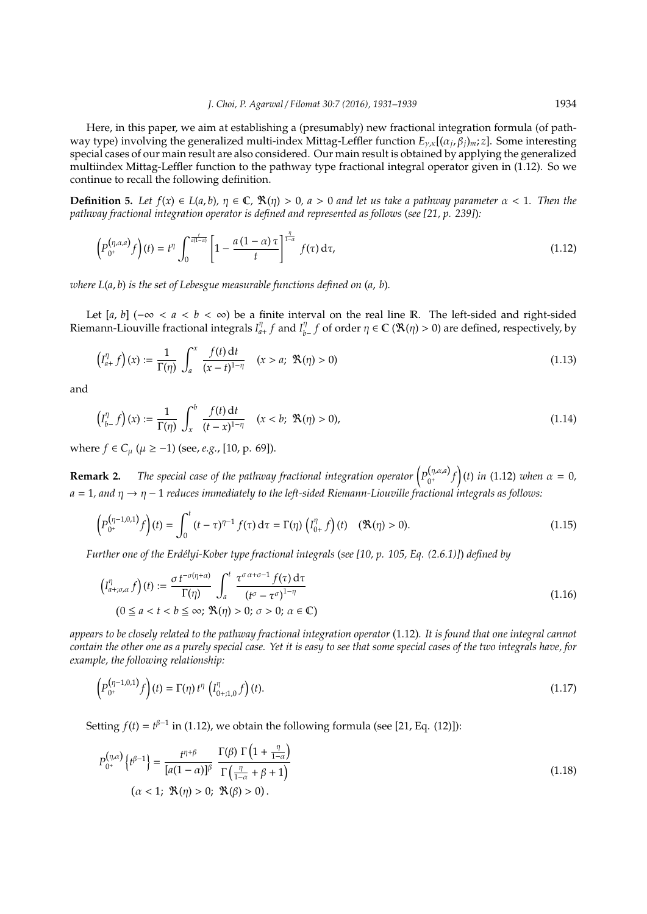Here, in this paper, we aim at establishing a (presumably) new fractional integration formula (of pathway type) involving the generalized multi-index Mittag-Leffler function *E*γ,κ[(α*<sup>j</sup>* , β*j*)*m*; *z*]. Some interesting special cases of our main result are also considered. Our main result is obtained by applying the generalized multiindex Mittag-Leffler function to the pathway type fractional integral operator given in (1.12). So we continue to recall the following definition.

**Definition 5.** Let  $f(x) \in L(a, b)$ ,  $\eta \in \mathbb{C}$ ,  $\mathbb{R}(\eta) > 0$ ,  $a > 0$  and let us take a pathway parameter  $\alpha < 1$ . Then the *pathway fractional integration operator is defined and represented as follows* (*see [21, p. 239]*)*:*

$$
\left(P_{0^+}^{(\eta,\alpha,a)}f\right)(t) = t^{\eta} \int_0^{\frac{t}{a(1-\alpha)}} \left[1 - \frac{a\left(1-\alpha\right)\tau}{t}\right]_{-\alpha}^{\frac{\eta}{1-\alpha}} f(\tau) d\tau, \tag{1.12}
$$

*where L*(*a*, *b*) *is the set of Lebesgue measurable functions defined on* (*a*, *b*)*.*

Let [a, b] ( $-\infty < a < b < \infty$ ) be a finite interval on the real line R. The left-sided and right-sided Riemann-Liouville fractional integrals *I* η  $\int_{a+}^{\eta} f$  and  $I_{b-}^{\eta} f$  of order  $\eta \in \mathbb{C}$  ( $\mathcal{R}(\eta) > 0$ ) are defined, respectively, by

$$
\left(I_{a+}^{\eta} f\right)(x) := \frac{1}{\Gamma(\eta)} \int_{a}^{x} \frac{f(t) dt}{(x - t)^{1 - \eta}} \quad (x > a; \ \mathfrak{R}(\eta) > 0)
$$
\n(1.13)

and

$$
\left(I_{b-}^{\eta}f\right)(x) := \frac{1}{\Gamma(\eta)} \int_{x}^{b} \frac{f(t) dt}{(t-x)^{1-\eta}} \quad (x < b; \ \mathfrak{R}(\eta) > 0),\tag{1.14}
$$

where *f* ∈  $C_\mu$  ( $\mu$  ≥ −1) (see, *e.g.*, [10, p. 69]).

**Remark 2.** The special case of the pathway fractional integration operator  $\left( P_{0+}^{(\eta,\alpha,a)} \right)$ 0 <sup>+</sup> *f* (*t*) *in* (1.12) *when* α = 0*, a* = 1*, and* η → η − 1 *reduces immediately to the left-sided Riemann-Liouville fractional integrals as follows:*

$$
\left(P_{0^+}^{(\eta-1,0,1)}f\right)(t) = \int_0^t (t-\tau)^{\eta-1} f(\tau) d\tau = \Gamma(\eta) \left(I_{0+}^{\eta} f\right)(t) \quad (\mathfrak{R}(\eta) > 0).
$$
\n(1.15)

*Further one of the Erd´elyi-Kober type fractional integrals* (*see [10, p. 105, Eq. (2.6.1)]*) *defined by*

$$
\left(I_{a+\sigma,\alpha}^{\eta} f\right)(t) := \frac{\sigma t^{-\sigma(\eta+\alpha)}}{\Gamma(\eta)} \int_{a}^{t} \frac{\tau^{\sigma \alpha+\sigma-1} f(\tau) d\tau}{\left(t^{\sigma}-\tau^{\sigma}\right)^{1-\eta}}
$$
\n
$$
(0 \le a < t < b \le \infty; \ \Re(\eta) > 0; \ \sigma > 0; \ \alpha \in \mathbb{C})
$$
\n
$$
(1.16)
$$

*appears to be closely related to the pathway fractional integration operator* (1.12)*. It is found that one integral cannot contain the other one as a purely special case. Yet it is easy to see that some special cases of the two integrals have, for example, the following relationship:*

$$
\left(P_{0^+}^{(\eta-1,0,1)}f\right)(t) = \Gamma(\eta) t^{\eta} \left(I_{0+,1,0}^{\eta} f\right)(t).
$$
\n(1.17)

Setting  $f(t) = t^{\beta - 1}$  in (1.12), we obtain the following formula (see [21, Eq. (12)]):

$$
P_{0^{+}}^{(\eta,\alpha)}\left\{t^{\beta-1}\right\} = \frac{t^{\eta+\beta}}{[a(1-\alpha)]^{\beta}} \frac{\Gamma(\beta) \Gamma\left(1 + \frac{\eta}{1-\alpha}\right)}{\Gamma\left(\frac{\eta}{1-\alpha} + \beta + 1\right)}
$$
\n
$$
(\alpha < 1; \ \mathfrak{R}(\eta) > 0; \ \mathfrak{R}(\beta) > 0).
$$
\n(1.18)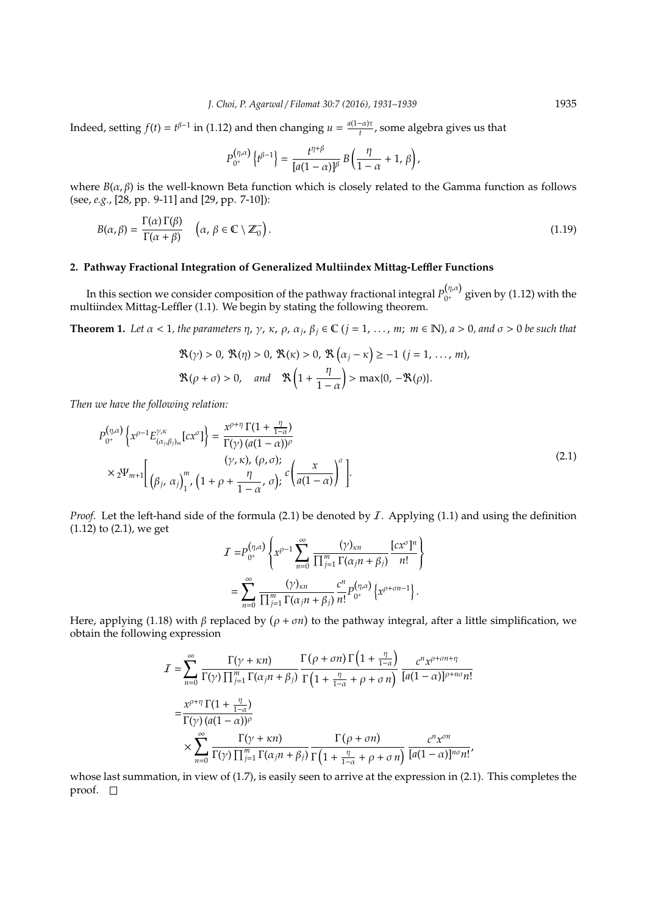Indeed, setting  $f(t) = t^{\beta-1}$  in (1.12) and then changing  $u = \frac{a(1-\alpha)\tau}{t}$  $\frac{a_{\mu}}{t}$ , some algebra gives us that

$$
P_{0^+}^{(\eta,\alpha)}\left\{t^{\beta-1}\right\} = \frac{t^{\eta+\beta}}{[a(1-\alpha)]^\beta} B\left(\frac{\eta}{1-\alpha}+1,\,\beta\right),\,
$$

where  $B(\alpha, \beta)$  is the well-known Beta function which is closely related to the Gamma function as follows (see, *e.g.*, [28, pp. 9-11] and [29, pp. 7-10]):

$$
B(\alpha, \beta) = \frac{\Gamma(\alpha) \Gamma(\beta)}{\Gamma(\alpha + \beta)} \quad \left(\alpha, \beta \in \mathbb{C} \setminus \mathbb{Z}_0^-\right). \tag{1.19}
$$

## **2. Pathway Fractional Integration of Generalized Multiindex Mittag-Le**ffl**er Functions**

In this section we consider composition of the pathway fractional integral  $P_{0^+}^{(\eta,\alpha)}$  $_{0^+}^{\gamma_1,\gamma_2}$  given by (1.12) with the multiindex Mittag-Leffler (1.1). We begin by stating the following theorem.

**Theorem 1.** Let  $\alpha < 1$ , the parameters  $\eta$ ,  $\gamma$ ,  $\kappa$ ,  $\rho$ ,  $\alpha_j$ ,  $\beta_j \in \mathbb{C}$  (*j* = 1, ..., *m*;  $m \in \mathbb{N}$ ),  $a > 0$ , and  $\sigma > 0$  be such that

$$
\mathfrak{R}(\gamma) > 0, \ \mathfrak{R}(\eta) > 0, \ \mathfrak{R}(\kappa) > 0, \ \mathfrak{R}\left(\alpha_j - \kappa\right) \geq -1 \ (j = 1, \ \ldots, \ m),
$$
\n
$$
\mathfrak{R}(\rho + \sigma) > 0, \quad \text{and} \quad \mathfrak{R}\left(1 + \frac{\eta}{1 - \alpha}\right) > \max\{0, -\mathfrak{R}(\rho)\}.
$$

*Then we have the following relation:*

$$
P_{0^{+}}^{(\eta,\alpha)}\left\{x^{\rho-1}E_{(\alpha_{j},\beta_{j})_{m}}^{\gamma,\kappa}[cx^{\sigma}]\right\} = \frac{x^{\rho+\eta}\,\Gamma(1+\frac{\eta}{1-\alpha})}{\Gamma(\gamma)\,(a(1-\alpha))^{\rho}}
$$
  
 
$$
\times 2^{\Psi_{m+1}}\left[\begin{array}{c} (\gamma,\kappa),\,(\rho,\sigma);\\(\beta_{j},\,\alpha_{j})_{1}^{m},\,(1+\rho+\frac{\eta}{1-\alpha},\,\sigma);\\c\left(\frac{x}{a(1-\alpha)}\right)^{\sigma}\end{array}\right].
$$
 (2.1)

*Proof.* Let the left-hand side of the formula (2.1) be denoted by *I*. Applying (1.1) and using the definition (1.12) to (2.1), we get

$$
I = P_{0^+}^{(\eta,\alpha)} \left\{ x^{\rho-1} \sum_{n=0}^{\infty} \frac{(\gamma)_{\kappa n}}{\prod_{j=1}^m \Gamma(\alpha_j n + \beta_j)} \frac{[cx^{\sigma}]^n}{n!} \right\}
$$
  
= 
$$
\sum_{n=0}^{\infty} \frac{(\gamma)_{\kappa n}}{\prod_{j=1}^m \Gamma(\alpha_j n + \beta_j)} \frac{c^n}{n!} P_{0^+}^{(\eta,\alpha)} \left\{ x^{\rho+\sigma n-1} \right\}.
$$

Here, applying (1.18) with  $\beta$  replaced by  $(\rho + \sigma n)$  to the pathway integral, after a little simplification, we obtain the following expression

$$
I = \sum_{n=0}^{\infty} \frac{\Gamma(\gamma + \kappa n)}{\Gamma(\gamma) \prod_{j=1}^{m} \Gamma(\alpha_j n + \beta_j)} \frac{\Gamma(\rho + \sigma n) \Gamma\left(1 + \frac{\eta}{1 - \alpha}\right)}{\Gamma\left(1 + \frac{\eta}{1 - \alpha} + \rho + \sigma n\right)} \frac{c^n x^{\rho + \sigma n + \eta}}{[a(1 - \alpha)]^{\rho + n\sigma} n!}
$$
  

$$
= \frac{x^{\rho + \eta} \Gamma(1 + \frac{\eta}{1 - \alpha})}{\Gamma(\gamma) (a(1 - \alpha))^{\rho}}
$$
  

$$
\times \sum_{n=0}^{\infty} \frac{\Gamma(\gamma + \kappa n)}{\Gamma(\gamma) \prod_{j=1}^{m} \Gamma(\alpha_j n + \beta_j)} \frac{\Gamma(\rho + \sigma n)}{\Gamma\left(1 + \frac{\eta}{1 - \alpha} + \rho + \sigma n\right)} \frac{c^n x^{\sigma n}}{[a(1 - \alpha)]^{n\sigma} n!},
$$

whose last summation, in view of (1.7), is easily seen to arrive at the expression in (2.1). This completes the proof.  $\square$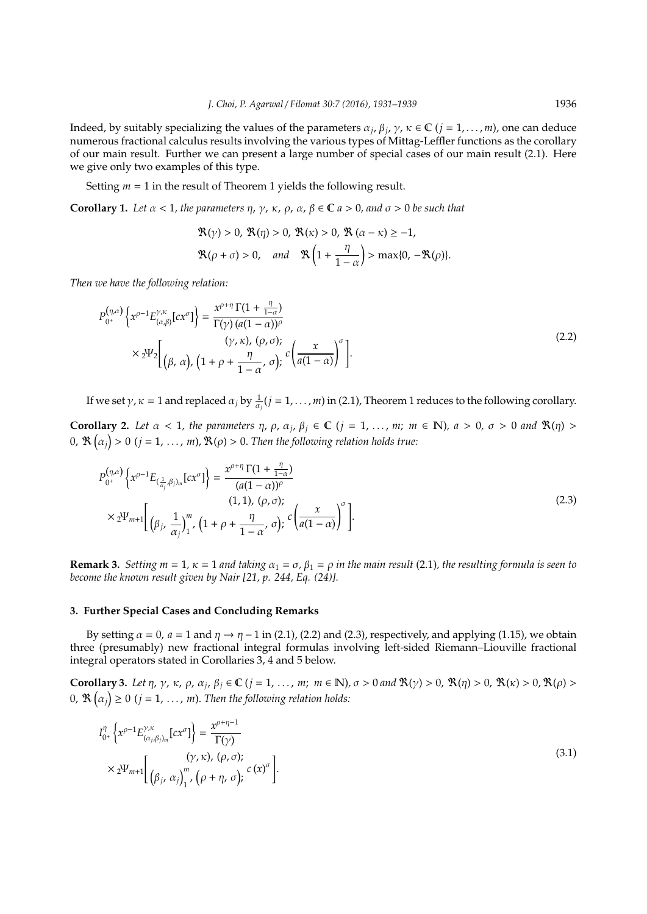Indeed, by suitably specializing the values of the parameters  $\alpha_j$ ,  $\beta_j$ ,  $\gamma$ ,  $\kappa \in \mathbb{C}$  (*j* = 1, . . . , *m*), one can deduce numerous fractional calculus results involving the various types of Mittag-Leffler functions as the corollary of our main result. Further we can present a large number of special cases of our main result (2.1). Here we give only two examples of this type.

Setting  $m = 1$  in the result of Theorem 1 yields the following result.

**Corollary 1.** Let  $\alpha$  < 1, the parameters  $\eta$ ,  $\gamma$ ,  $\kappa$ ,  $\rho$ ,  $\alpha$ ,  $\beta \in \mathbb{C}$   $a > 0$ , and  $\sigma > 0$  be such that

$$
\mathfrak{R}(\gamma) > 0, \mathfrak{R}(\eta) > 0, \mathfrak{R}(\kappa) > 0, \mathfrak{R}(\alpha - \kappa) \ge -1,
$$
\n
$$
\mathfrak{R}(\rho + \sigma) > 0, \quad \text{and} \quad \mathfrak{R}\left(1 + \frac{\eta}{1 - \alpha}\right) > \max\{0, -\mathfrak{R}(\rho)\}.
$$

*Then we have the following relation:*

$$
P_{0^{+}}^{(\eta,\alpha)}\left\{x^{\rho-1}E_{(\alpha,\beta)}^{\gamma,\kappa}\left[cx^{\sigma}\right]\right\} = \frac{x^{\rho+\eta}\,\Gamma(1+\frac{\eta}{1-\alpha})}{\Gamma(\gamma)\,(a(1-\alpha))^{\rho}}\n\times 2\Psi_{2}\left[\n\begin{array}{c}\n(\gamma,\kappa),\,(\rho,\sigma);\n\\
(\beta,\,\alpha),\,(1+\rho+\frac{\eta}{1-\alpha},\,\sigma);\n\end{array}c\left(\frac{x}{a(1-\alpha)}\right)^{\sigma}\n\right].
$$
\n(2.2)

If we set  $\gamma$ ,  $\kappa = 1$  and replaced  $\alpha_j$  by  $\frac{1}{\alpha_j}(j = 1, \ldots, m)$  in (2.1), Theorem 1 reduces to the following corollary.

**Corollary 2.** Let  $\alpha < 1$ , the parameters  $\eta$ ,  $\rho$ ,  $\alpha_j$ ,  $\beta_j \in \mathbb{C}$  ( $j = 1, ..., m$ ;  $m \in \mathbb{N}$ ),  $a > 0$ ,  $\sigma > 0$  and  $\Re(\eta) >$  $\partial$ ,  $\mathfrak{R}\left(\alpha_{j}\right)>0$   $(j=1,\,\ldots,\,m)$ ,  $\mathfrak{R}(\rho)>0.$  Then the following relation holds true:

$$
P_{0^+}^{(\eta,\alpha)}\left\{x^{\rho-1}E_{(\frac{1}{\alpha_j},\beta_j)_m}[cx^{\sigma}]\right\} = \frac{x^{\rho+\eta}\Gamma(1+\frac{\eta}{1-\alpha})}{(a(1-\alpha))^{\rho}}
$$
  
 
$$
\times 2\Psi_{m+1}\left[\left(\beta_j,\frac{1}{\alpha_j}\right)_1^m, \left(1+\rho+\frac{\eta}{1-\alpha},\sigma\right)_j^c c\left(\frac{x}{a(1-\alpha)}\right)^{\sigma}\right].
$$
 (2.3)

**Remark 3.** *Setting m* = 1,  $\kappa$  = 1 *and taking*  $\alpha_1 = \sigma$ ,  $\beta_1 = \rho$  *in the main result* (2.1), *the resulting formula is seen to become the known result given by Nair [21, p. 244, Eq. (24)].*

### **3. Further Special Cases and Concluding Remarks**

By setting  $\alpha = 0$ ,  $a = 1$  and  $\eta \rightarrow \eta - 1$  in (2.1), (2.2) and (2.3), respectively, and applying (1.15), we obtain three (presumably) new fractional integral formulas involving left-sided Riemann–Liouville fractional integral operators stated in Corollaries 3, 4 and 5 below.

**Corollary 3.** Let  $\eta$ ,  $\gamma$ ,  $\kappa$ ,  $\rho$ ,  $\alpha_j$ ,  $\beta_j \in \mathbb{C}$  (*j* = 1, ..., *m*;  $m \in \mathbb{N}$ ),  $\sigma > 0$  and  $\mathbb{R}(\gamma) > 0$ ,  $\mathbb{R}(\eta) > 0$ ,  $\mathbb{R}(\kappa) > 0$ ,  $\mathbb{R}(\rho) > 0$  $(0, \mathfrak{R}(\alpha_j) \geq 0 \ (j = 1, \ldots, m).$  Then the following relation holds:

$$
I_{0+}^{\eta} \left\{ x^{\rho-1} E_{(\alpha_j, \beta_j)_m}^{\gamma, \kappa} [cx^{\sigma}] \right\} = \frac{x^{\rho + \eta - 1}}{\Gamma(\gamma)}
$$
  
 
$$
\times 2^{\Psi_{m+1}} \left[ \begin{array}{c} (\gamma, \kappa), (\rho, \sigma); \\ (\beta_j, \alpha_j)_1^m, (\rho + \eta, \sigma); \end{array} c (x)^{\sigma} \right].
$$
 (3.1)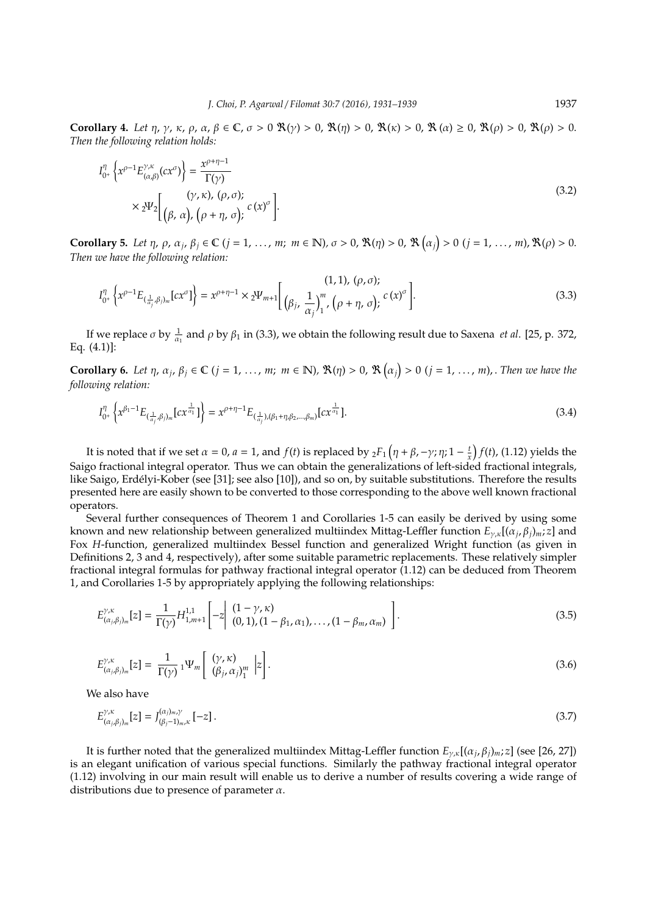**Corollary 4.** *Let*  $\eta$ ,  $\gamma$ ,  $\kappa$ ,  $\rho$ ,  $\alpha$ ,  $\beta \in \mathbb{C}$ ,  $\sigma > 0$ ,  $\Re(\gamma) > 0$ ,  $\Re(\eta) > 0$ ,  $\Re(\kappa) > 0$ ,  $\Re(\alpha) \ge 0$ ,  $\Re(\rho) > 0$ ,  $\Re(\rho) > 0$ . *Then the following relation holds:*

$$
I_{0^{+}}^{\eta} \left\{ x^{\rho-1} E_{(\alpha,\beta)}^{\gamma,\kappa}(cx^{\sigma}) \right\} = \frac{x^{\rho+\eta-1}}{\Gamma(\gamma)}
$$
  
 
$$
\times 2\Psi_{2} \left[ \begin{array}{c} (\gamma,\kappa), (\rho,\sigma); \\ (\beta,\alpha), (\rho+\eta,\sigma); \end{array} c(x)^{\sigma} \right].
$$
 (3.2)

**Corollary 5.** Let  $\eta$ ,  $\rho$ ,  $\alpha_j$ ,  $\beta_j \in \mathbb{C}$  ( $j = 1, ..., m$ ;  $m \in \mathbb{N}$ ),  $\sigma > 0$ ,  $\Re(\eta) > 0$ ,  $\Re(\alpha_j) > 0$  ( $j = 1, ..., m$ ),  $\Re(\rho) > 0$ . *Then we have the following relation:*

$$
I_{0^{+}}^{\eta} \left\{ x^{\rho-1} E_{(\frac{1}{\alpha_{j}} \beta_{j})_{m}} [cx^{\sigma}] \right\} = x^{\rho+\eta-1} \times 2^{\Psi_{m+1}} \left[ \frac{(1,1), (\rho,\sigma);}{(\beta_{j}, \frac{1}{\alpha_{j}})_{1}^{m}, (\rho+\eta,\sigma);} c(x)^{\sigma} \right].
$$
 (3.3)

If we replace  $\sigma$  by  $\frac{1}{\alpha_1}$  and  $\rho$  by  $\beta_1$  in (3.3), we obtain the following result due to Saxena *et al*. [25, p. 372, Eq. (4.1)]:

**Corollary 6.** Let  $\eta$ ,  $\alpha_j$ ,  $\beta_j \in \mathbb{C}$  ( $j = 1, ..., m$ ;  $m \in \mathbb{N}$ ),  $\mathbb{R}(\eta) > 0$ ,  $\mathbb{R}(\alpha_j) > 0$  ( $j = 1, ..., m$ ), Then we have the *following relation:*

$$
I_{0^+}^{\eta} \left\{ x^{\beta_1 - 1} E_{(\frac{1}{\alpha_j}, \beta_j)_m} \left[ cx^{\frac{1}{\alpha_1}} \right] \right\} = x^{\rho + \eta - 1} E_{(\frac{1}{\alpha_j}), (\beta_1 + \eta, \beta_2, \dots, \beta_m)} \left[ cx^{\frac{1}{\alpha_1}} \right]. \tag{3.4}
$$

It is noted that if we set  $\alpha = 0$ ,  $a = 1$ , and  $f(t)$  is replaced by  ${}_2F_1\left(\eta + \beta, -\gamma; \eta; 1 - \frac{t}{x}\right)f(t)$ , (1.12) yields the Saigo fractional integral operator. Thus we can obtain the generalizations of left-sided fractional integrals, like Saigo, Erdélyi-Kober (see [31]; see also [10]), and so on, by suitable substitutions. Therefore the results presented here are easily shown to be converted to those corresponding to the above well known fractional operators.

Several further consequences of Theorem 1 and Corollaries 1-5 can easily be derived by using some known and new relationship between generalized multiindex Mittag-Leffler function *E*γ,κ[(α*<sup>j</sup>* , β*j*)*m*; *z*] and Fox *H*-function, generalized multiindex Bessel function and generalized Wright function (as given in Definitions 2, 3 and 4, respectively), after some suitable parametric replacements. These relatively simpler fractional integral formulas for pathway fractional integral operator (1.12) can be deduced from Theorem 1, and Corollaries 1-5 by appropriately applying the following relationships:

$$
E_{(\alpha_j,\beta_j)_m}^{\gamma,\kappa}[z] = \frac{1}{\Gamma(\gamma)} H_{1,m+1}^{1,1} \left[ -z \middle| \begin{array}{l} (1-\gamma,\kappa) \\ (0,1), (1-\beta_1,\alpha_1), \dots, (1-\beta_m,\alpha_m) \end{array} \right]. \tag{3.5}
$$

$$
E_{(\alpha_j,\beta_j)_m}^{\gamma,\kappa}[z] = \frac{1}{\Gamma(\gamma)} 1 \Psi_m \left[ \begin{array}{c} (\gamma,\kappa) \\ (\beta_j,\alpha_j)_1^m \end{array} \Big| z \right]. \tag{3.6}
$$

We also have

$$
E_{(\alpha_j,\beta_j)_m}^{\gamma,\kappa}[z] = J_{(\beta_j-1)_m,\kappa}^{(\alpha_j)_m,\gamma}[-z] \,. \tag{3.7}
$$

It is further noted that the generalized multiindex Mittag-Leffler function *E*γ,κ[(α*<sup>j</sup>* , β*j*)*m*; *z*] (see [26, 27]) is an elegant unification of various special functions. Similarly the pathway fractional integral operator (1.12) involving in our main result will enable us to derive a number of results covering a wide range of distributions due to presence of parameter  $\alpha$ .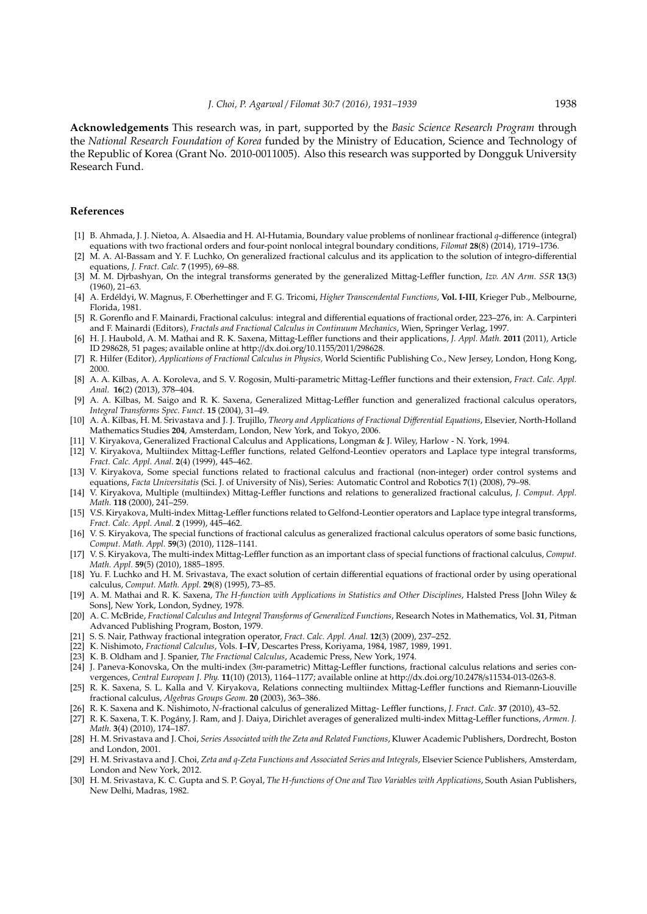**Acknowledgements** This research was, in part, supported by the *Basic Science Research Program* through the *National Research Foundation of Korea* funded by the Ministry of Education, Science and Technology of the Republic of Korea (Grant No. 2010-0011005). Also this research was supported by Dongguk University Research Fund.

#### **References**

- [1] B. Ahmada, J. J. Nietoa, A. Alsaedia and H. Al-Hutamia, Boundary value problems of nonlinear fractional *q*-difference (integral) equations with two fractional orders and four-point nonlocal integral boundary conditions, *Filomat* **28**(8) (2014), 1719–1736.
- [2] M. A. Al-Bassam and Y. F. Luchko, On generalized fractional calculus and its application to the solution of integro-differential equations, *J. Fract. Calc.* **7** (1995), 69–88.
- [3] M. M. Djrbashyan, On the integral transforms generated by the generalized Mittag-Leffler function, *Izv. AN Arm. SSR* **13**(3) (1960), 21–63.
- [4] A. Erd´eldyi, W. Magnus, F. Oberhettinger and F. G. Tricomi, *Higher Transcendental Functions*, **Vol. I-III**, Krieger Pub., Melbourne, Florida, 1981.
- [5] R. Gorenflo and F. Mainardi, Fractional calculus: integral and differential equations of fractional order, 223–276, in: A. Carpinteri and F. Mainardi (Editors), *Fractals and Fractional Calculus in Continuum Mechanics*, Wien, Springer Verlag, 1997.
- [6] H. J. Haubold, A. M. Mathai and R. K. Saxena, Mittag-Leffler functions and their applications, *J. Appl. Math.* **2011** (2011), Article ID 298628, 51 pages; available online at http://dx.doi.org/10.1155/2011/298628.
- [7] R. Hilfer (Editor), *Applications of Fractional Calculus in Physics,* World Scientific Publishing Co., New Jersey, London, Hong Kong, 2000.
- [8] A. A. Kilbas, A. A. Koroleva, and S. V. Rogosin, Multi-parametric Mittag-Leffler functions and their extension, *Fract. Calc. Appl. Anal.* **16**(2) (2013), 378–404.
- [9] A. A. Kilbas, M. Saigo and R. K. Saxena, Generalized Mittag-Leffler function and generalized fractional calculus operators, *Integral Transforms Spec. Funct.* **15** (2004), 31–49.
- [10] A. A. Kilbas, H. M. Srivastava and J. J. Trujillo, *Theory and Applications of Fractional Di*ff*erential Equations*, Elsevier, North-Holland Mathematics Studies **204**, Amsterdam, London, New York, and Tokyo, 2006.
- [11] V. Kiryakova, Generalized Fractional Calculus and Applications, Longman & J. Wiley, Harlow N. York, 1994.
- [12] V. Kiryakova, Multiindex Mittag-Leffler functions, related Gelfond-Leontiev operators and Laplace type integral transforms, *Fract. Calc. Appl. Anal.* **2**(4) (1999), 445–462.
- [13] V. Kiryakova, Some special functions related to fractional calculus and fractional (non-integer) order control systems and equations, *Facta Universitatis* (Sci. J. of University of Nis), Series: Automatic Control and Robotics **7**(1) (2008), 79–98.
- [14] V. Kiryakova, Multiple (multiindex) Mittag-Leffler functions and relations to generalized fractional calculus, *J. Comput. Appl. Math.* **118** (2000), 241–259.
- [15] V.S. Kiryakova, Multi-index Mittag-Leffler functions related to Gelfond-Leontier operators and Laplace type integral transforms, *Fract. Calc. Appl. Anal.* **2** (1999), 445–462.
- [16] V. S. Kiryakova, The special functions of fractional calculus as generalized fractional calculus operators of some basic functions, *Comput. Math. Appl.* **59**(3) (2010), 1128–1141.
- [17] V. S. Kiryakova, The multi-index Mittag-Leffler function as an important class of special functions of fractional calculus, *Comput. Math. Appl.* **59**(5) (2010), 1885–1895.
- [18] Yu. F. Luchko and H. M. Srivastava, The exact solution of certain differential equations of fractional order by using operational calculus, *Comput. Math. Appl.* **29**(8) (1995), 73–85.
- [19] A. M. Mathai and R. K. Saxena, *The H-function with Applications in Statistics and Other Disciplines*, Halsted Press [John Wiley & Sons], New York, London, Sydney, 1978.
- [20] A. C. McBride, *Fractional Calculus and Integral Transforms of Generalized Functions*, Research Notes in Mathematics, Vol. **31**, Pitman Advanced Publishing Program, Boston, 1979.
- [21] S. S. Nair, Pathway fractional integration operator, *Fract. Calc. Appl. Anal.* **12**(3) (2009), 237–252.
- [22] K. Nishimoto, *Fractional Calculus*, Vols. **I**–**IV**, Descartes Press, Koriyama, 1984, 1987, 1989, 1991.
- [23] K. B. Oldham and J. Spanier, *The Fractional Calculus*, Academic Press, New York, 1974.
- [24] J. Paneva-Konovska, On the multi-index (3*m*-parametric) Mittag-Leffler functions, fractional calculus relations and series convergences, *Central European J. Phy.* **11**(10) (2013), 1164–1177; available online at http://dx.doi.org/10.2478/s11534-013-0263-8.
- [25] R. K. Saxena, S. L. Kalla and V. Kiryakova, Relations connecting multiindex Mittag-Leffler functions and Riemann-Liouville fractional calculus, *Algebras Groups Geom.* **20** (2003), 363–386.
- [26] R. K. Saxena and K. Nishimoto, *N*-fractional calculus of generalized Mittag- Leffler functions, *J. Fract. Calc.* **37** (2010), 43–52.
- [27] R. K. Saxena, T. K. Pogány, J. Ram, and J. Daiya, Dirichlet averages of generalized multi-index Mittag-Leffler functions, Armen. J. *Math.* **3**(4) (2010), 174–187.
- [28] H. M. Srivastava and J. Choi, *Series Associated with the Zeta and Related Functions*, Kluwer Academic Publishers, Dordrecht, Boston and London, 2001.
- [29] H. M. Srivastava and J. Choi, Zeta and q-Zeta Functions and Associated Series and Integrals, Elsevier Science Publishers, Amsterdam, London and New York, 2012.
- [30] H. M. Srivastava, K. C. Gupta and S. P. Goyal, *The H-functions of One and Two Variables with Applications*, South Asian Publishers, New Delhi, Madras, 1982.